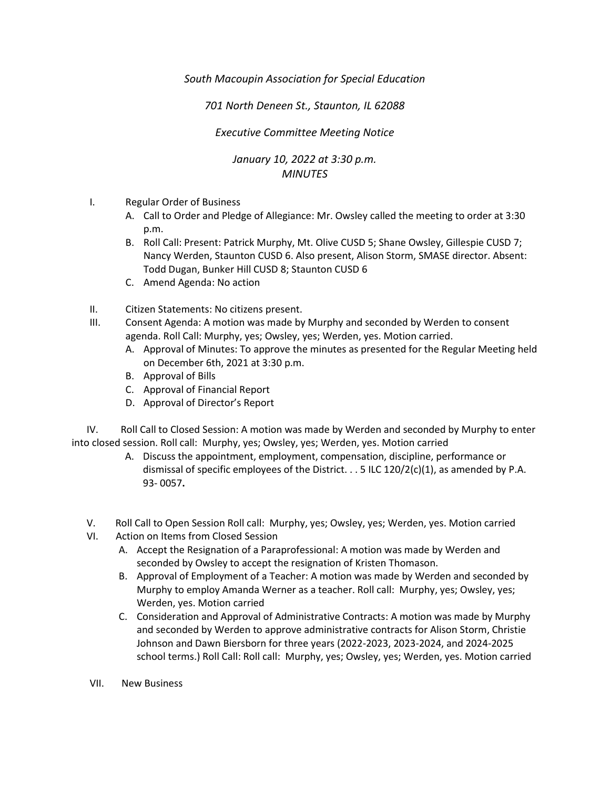*South Macoupin Association for Special Education* 

*701 North Deneen St., Staunton, IL 62088* 

*Executive Committee Meeting Notice*

## *January 10, 2022 at 3:30 p.m. MINUTES*

- I. Regular Order of Business
	- A. Call to Order and Pledge of Allegiance: Mr. Owsley called the meeting to order at 3:30 p.m.
	- B. Roll Call: Present: Patrick Murphy, Mt. Olive CUSD 5; Shane Owsley, Gillespie CUSD 7; Nancy Werden, Staunton CUSD 6. Also present, Alison Storm, SMASE director. Absent: Todd Dugan, Bunker Hill CUSD 8; Staunton CUSD 6
	- C. Amend Agenda: No action
- II. Citizen Statements: No citizens present.
- III. Consent Agenda: A motion was made by Murphy and seconded by Werden to consent agenda. Roll Call: Murphy, yes; Owsley, yes; Werden, yes. Motion carried.
	- A. Approval of Minutes: To approve the minutes as presented for the Regular Meeting held on December 6th, 2021 at 3:30 p.m.
	- B. Approval of Bills
	- C. Approval of Financial Report
	- D. Approval of Director's Report

 IV. Roll Call to Closed Session: A motion was made by Werden and seconded by Murphy to enter into closed session. Roll call: Murphy, yes; Owsley, yes; Werden, yes. Motion carried

- A. Discuss the appointment, employment, compensation, discipline, performance or dismissal of specific employees of the District.  $\ldots$  5 ILC 120/2(c)(1), as amended by P.A. 93- 0057**.**
- V. Roll Call to Open Session Roll call: Murphy, yes; Owsley, yes; Werden, yes. Motion carried
- VI. Action on Items from Closed Session
	- A. Accept the Resignation of a Paraprofessional: A motion was made by Werden and seconded by Owsley to accept the resignation of Kristen Thomason.
	- B. Approval of Employment of a Teacher: A motion was made by Werden and seconded by Murphy to employ Amanda Werner as a teacher. Roll call: Murphy, yes; Owsley, yes; Werden, yes. Motion carried
	- C. Consideration and Approval of Administrative Contracts: A motion was made by Murphy and seconded by Werden to approve administrative contracts for Alison Storm, Christie Johnson and Dawn Biersborn for three years (2022-2023, 2023-2024, and 2024-2025 school terms.) Roll Call: Roll call: Murphy, yes; Owsley, yes; Werden, yes. Motion carried
- VII. New Business